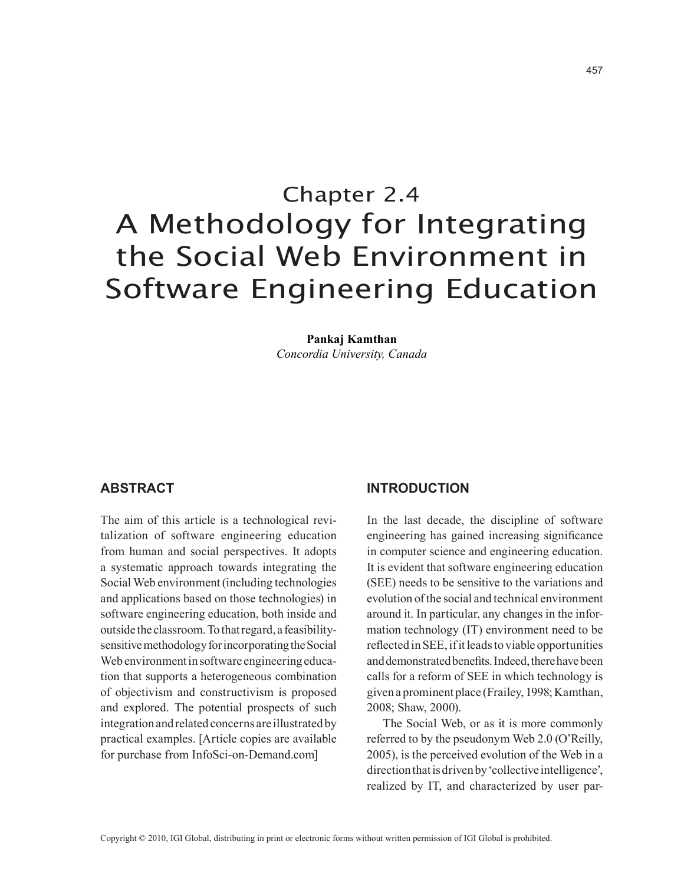# Chapter 2.4 A Methodology for Integrating the Social Web Environment in Software Engineering Education

**Pankaj Kamthan** *Concordia University, Canada*

## **abstract**

The aim of this article is a technological revitalization of software engineering education from human and social perspectives. It adopts a systematic approach towards integrating the Social Web environment (including technologies and applications based on those technologies) in software engineering education, both inside and outside the classroom. To that regard, a feasibilitysensitive methodology for incorporating the Social Web environment in software engineering education that supports a heterogeneous combination of objectivism and constructivism is proposed and explored. The potential prospects of such integration and related concerns are illustrated by practical examples. [Article copies are available for purchase from InfoSci-on-Demand.com]

## **INTRODUCTION**

In the last decade, the discipline of software engineering has gained increasing significance in computer science and engineering education. It is evident that software engineering education (SEE) needs to be sensitive to the variations and evolution of the social and technical environment around it. In particular, any changes in the information technology (IT) environment need to be reflected in SEE, ifit leadsto viable opportunities and demonstrated benefits. Indeed, there have been calls for a reform of SEE in which technology is given a prominent place (Frailey, 1998; Kamthan, 2008; Shaw, 2000).

The Social Web, or as it is more commonly referred to by the pseudonym Web 2.0 (O'Reilly, 2005), is the perceived evolution of the Web in a direction that is driven by 'collective intelligence', realized by IT, and characterized by user par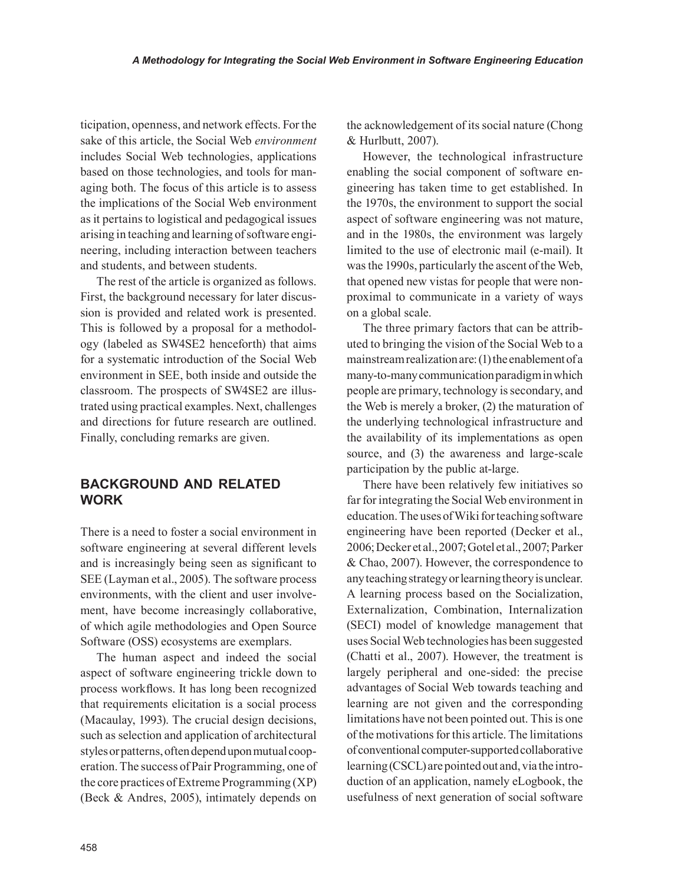ticipation, openness, and network effects. For the sake of this article, the Social Web *environment* includes Social Web technologies, applications based on those technologies, and tools for managing both. The focus of this article is to assess the implications of the Social Web environment as it pertains to logistical and pedagogical issues arising in teaching and learning of software engineering, including interaction between teachers and students, and between students.

The rest of the article is organized as follows. First, the background necessary for later discussion is provided and related work is presented. This is followed by a proposal for a methodology (labeled as SW4SE2 henceforth) that aims for a systematic introduction of the Social Web environment in SEE, both inside and outside the classroom. The prospects of SW4SE2 are illustrated using practical examples. Next, challenges and directions for future research are outlined. Finally, concluding remarks are given.

# **BACKGROUND AND RELATED WORK**

There is a need to foster a social environment in software engineering at several different levels and is increasingly being seen as significant to SEE (Layman et al., 2005). The software process environments, with the client and user involvement, have become increasingly collaborative, of which agile methodologies and Open Source Software (OSS) ecosystems are exemplars.

The human aspect and indeed the social aspect of software engineering trickle down to process workflows. It has long been recognized that requirements elicitation is a social process (Macaulay, 1993). The crucial design decisions, such as selection and application of architectural styles or patterns, often depend upon mutual cooperation. The success of Pair Programming, one of the core practices ofExtreme Programming (XP) (Beck & Andres, 2005), intimately depends on the acknowledgement of its social nature (Chong & Hurlbutt, 2007).

However, the technological infrastructure enabling the social component of software engineering has taken time to get established. In the 1970s, the environment to support the social aspect of software engineering was not mature, and in the 1980s, the environment was largely limited to the use of electronic mail (e-mail). It was the 1990s, particularly the ascent of the Web, that opened new vistas for people that were nonproximal to communicate in a variety of ways on a global scale.

The three primary factors that can be attributed to bringing the vision of the Social Web to a mainstream realization are: (1) the enablement of a many-to-many communication paradigm in which people are primary, technology is secondary, and the Web is merely a broker, (2) the maturation of the underlying technological infrastructure and the availability of its implementations as open source, and (3) the awareness and large-scale participation by the public at-large.

There have been relatively few initiatives so far for integrating the Social Web environment in education. The uses of Wiki for teaching software engineering have been reported (Decker et al., 2006;Decker et al.,2007;Gotel et al.,2007;Parker & Chao, 2007). However, the correspondence to any teaching strategy or learning theory is unclear. A learning process based on the Socialization, Externalization, Combination, Internalization (SECI) model of knowledge management that uses Social Web technologies has been suggested (Chatti et al., 2007). However, the treatment is largely peripheral and one-sided: the precise advantages of Social Web towards teaching and learning are not given and the corresponding limitations have not been pointed out. This is one of the motivations for this article. The limitations of conventional computer-supported collaborative learning (CSCL) are pointed out and, via the introduction of an application, namely eLogbook, the usefulness of next generation of social software